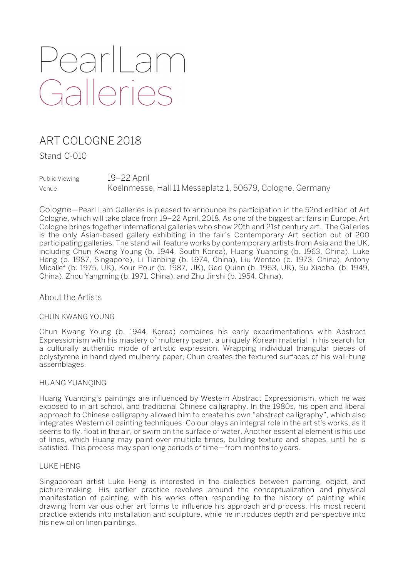# PearlLam Galleries

# ART COLOGNE 2018

Stand C-010

Public Viewing 19–22 April Venue Koelnmesse, Hall 11 Messeplatz 1, 50679, Cologne, Germany

Cologne—Pearl Lam Galleries is pleased to announce its participation in the 52nd edition of Art Cologne, which will take place from 19–22 April, 2018. As one of the biggest art fairs in Europe, Art Cologne brings together international galleries who show 20th and 21st century art. The Galleries is the only Asian-based gallery exhibiting in the fair's Contemporary Art section out of 200 participating galleries. The stand will feature works by contemporary artists from Asia and the UK, including Chun Kwang Young (b. 1944, South Korea), Huang Yuanqing (b. 1963, China), Luke Heng (b. 1987, Singapore), Li Tianbing (b. 1974, China), Liu Wentao (b. 1973, China), Antony Micallef (b. 1975, UK), Kour Pour (b. 1987, UK), Ged Quinn (b. 1963, UK), Su Xiaobai (b. 1949, China), Zhou Yangming (b. 1971, China), and Zhu Jinshi (b. 1954, China).

About the Artists

# CHUN KWANG YOUNG

Chun Kwang Young (b. 1944, Korea) combines his early experimentations with Abstract Expressionism with his mastery of mulberry paper, a uniquely Korean material, in his search for a culturally authentic mode of artistic expression. Wrapping individual triangular pieces of polystyrene in hand dyed mulberry paper, Chun creates the textured surfaces of his wall-hung assemblages.

# HUANG YUANQING

Huang Yuanqing's paintings are influenced by Western Abstract Expressionism, which he was exposed to in art school, and traditional Chinese calligraphy. In the 1980s, his open and liberal approach to Chinese calligraphy allowed him to create his own "abstract calligraphy", which also integrates Western oil painting techniques. Colour plays an integral role in the artist's works, as it seems to fly, float in the air, or swim on the surface of water. Another essential element is his use of lines, which Huang may paint over multiple times, building texture and shapes, until he is satisfied. This process may span long periods of time—from months to years.

#### LUKE HENG

Singaporean artist Luke Heng is interested in the dialectics between painting, object, and picture-making. His earlier practice revolves around the conceptualization and physical manifestation of painting, with his works often responding to the history of painting while drawing from various other art forms to influence his approach and process. His most recent practice extends into installation and sculpture, while he introduces depth and perspective into his new oil on linen paintings.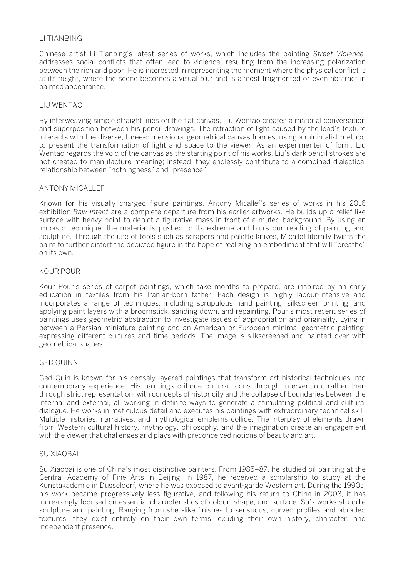# LI TIANBING

Chinese artist Li Tianbing's latest series of works, which includes the painting *Street Violence*, addresses social conflicts that often lead to violence, resulting from the increasing polarization between the rich and poor. He is interested in representing the moment where the physical conflict is at its height, where the scene becomes a visual blur and is almost fragmented or even abstract in painted appearance.

#### LIU WENTAO

By interweaving simple straight lines on the flat canvas, Liu Wentao creates a material conversation and superposition between his pencil drawings. The refraction of light caused by the lead's texture interacts with the diverse, three-dimensional geometrical canvas frames, using a minimalist method to present the transformation of light and space to the viewer. As an experimenter of form, Liu Wentao regards the void of the canvas as the starting point of his works. Liu's dark pencil strokes are not created to manufacture meaning; instead, they endlessly contribute to a combined dialectical relationship between "nothingness" and "presence".

#### ANTONY MICALLEF

Known for his visually charged figure paintings, Antony Micallef's series of works in his 2016 exhibition *Raw Intent* are a complete departure from his earlier artworks. He builds up a relief-like surface with heavy paint to depict a figurative mass in front of a muted background. By using an impasto technique, the material is pushed to its extreme and blurs our reading of painting and sculpture. Through the use of tools such as scrapers and palette knives, Micallef literally twists the paint to further distort the depicted figure in the hope of realizing an embodiment that will "breathe" on its own.

#### KOUR POUR

Kour Pour's series of carpet paintings, which take months to prepare, are inspired by an early education in textiles from his Iranian-born father. Each design is highly labour-intensive and incorporates a range of techniques, including scrupulous hand painting, silkscreen printing, and applying paint layers with a broomstick, sanding down, and repainting. Pour's most recent series of paintings uses geometric abstraction to investigate issues of appropriation and originality. Lying in between a Persian miniature painting and an American or European minimal geometric painting, expressing different cultures and time periods. The image is silkscreened and painted over with geometrical shapes.

#### GED QUINN

Ged Quin is known for his densely layered paintings that transform art historical techniques into contemporary experience. His paintings critique cultural icons through intervention, rather than through strict representation, with concepts of historicity and the collapse of boundaries between the internal and external, all working in definite ways to generate a stimulating political and cultural dialogue. He works in meticulous detail and executes his paintings with extraordinary technical skill. Multiple histories, narratives, and mythological emblems collide. The interplay of elements drawn from Western cultural history, mythology, philosophy, and the imagination create an engagement with the viewer that challenges and plays with preconceived notions of beauty and art.

#### SU XIAOBAI

Su Xiaobai is one of China's most distinctive painters. From 1985–87, he studied oil painting at the Central Academy of Fine Arts in Beijing. In 1987, he received a scholarship to study at the Kunstakademie in Dusseldorf, where he was exposed to avant-garde Western art. During the 1990s, his work became progressively less figurative, and following his return to China in 2003, it has increasingly focused on essential characteristics of colour, shape, and surface. Su's works straddle sculpture and painting. Ranging from shell-like finishes to sensuous, curved profiles and abraded textures, they exist entirely on their own terms, exuding their own history, character, and independent presence.